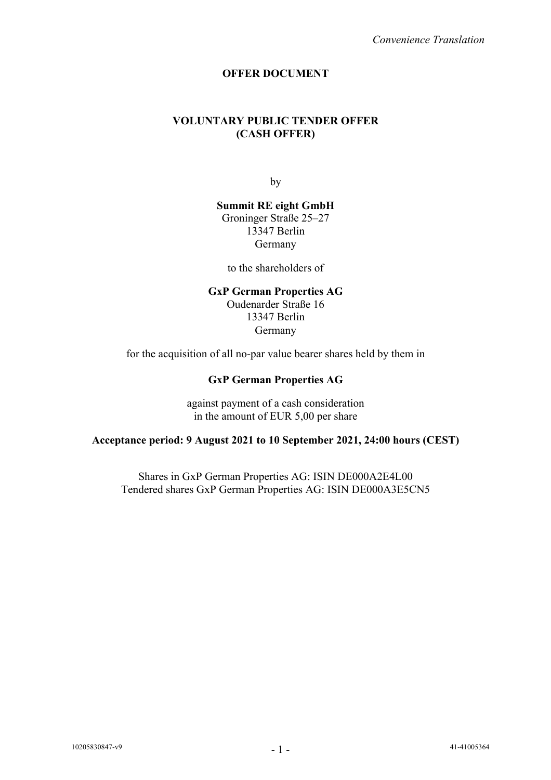# **OFFER DOCUMENT**

# **VOLUNTARY PUBLIC TENDER OFFER (CASH OFFER)**

by

**Summit RE eight GmbH** Groninger Straße 25–27 13347 Berlin Germany

to the shareholders of

#### **GxP German Properties AG**

Oudenarder Straße 16 13347 Berlin Germany

for the acquisition of all no-par value bearer shares held by them in

# **GxP German Properties AG**

against payment of a cash consideration in the amount of EUR 5,00 per share

# **Acceptance period: 9 August 2021 to 10 September 2021, 24:00 hours (CEST)**

Shares in GxP German Properties AG: ISIN DE000A2E4L00 Tendered shares GxP German Properties AG: ISIN DE000A3E5CN5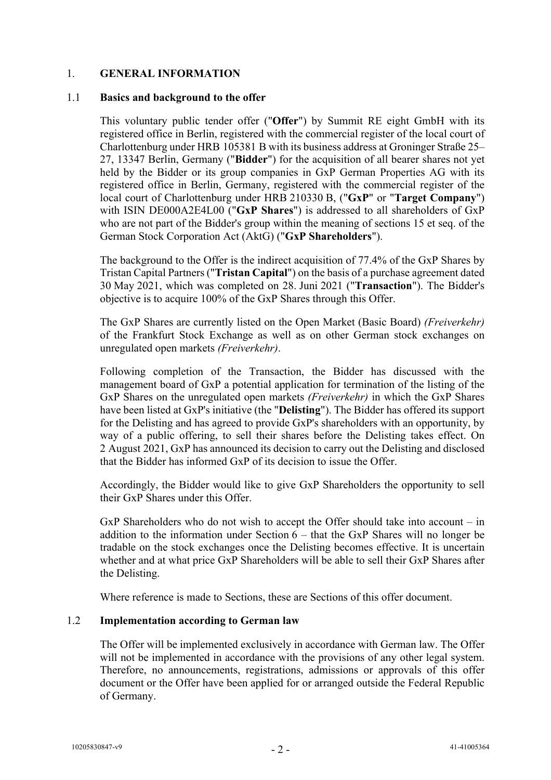# 1. **GENERAL INFORMATION**

### 1.1 **Basics and background to the offer**

This voluntary public tender offer ("**Offer**") by Summit RE eight GmbH with its registered office in Berlin, registered with the commercial register of the local court of Charlottenburg under HRB 105381 B with its business address at Groninger Straße 25– 27, 13347 Berlin, Germany ("**Bidder**") for the acquisition of all bearer shares not yet held by the Bidder or its group companies in GxP German Properties AG with its registered office in Berlin, Germany, registered with the commercial register of the local court of Charlottenburg under HRB 210330 B, ("**GxP**" or "**Target Company**") with ISIN DE000A2E4L00 ("**GxP Shares**") is addressed to all shareholders of GxP who are not part of the Bidder's group within the meaning of sections 15 et seq. of the German Stock Corporation Act (AktG) ("**GxP Shareholders**").

The background to the Offer is the indirect acquisition of 77.4% of the GxP Shares by Tristan Capital Partners ("**Tristan Capital**") on the basis of a purchase agreement dated 30 May 2021, which was completed on 28. Juni 2021 ("**Transaction**"). The Bidder's objective is to acquire 100% of the GxP Shares through this Offer.

The GxP Shares are currently listed on the Open Market (Basic Board) *(Freiverkehr)*  of the Frankfurt Stock Exchange as well as on other German stock exchanges on unregulated open markets *(Freiverkehr)*.

Following completion of the Transaction, the Bidder has discussed with the management board of GxP a potential application for termination of the listing of the GxP Shares on the unregulated open markets *(Freiverkehr)* in which the GxP Shares have been listed at GxP's initiative (the "**Delisting**"). The Bidder has offered its support for the Delisting and has agreed to provide GxP's shareholders with an opportunity, by way of a public offering, to sell their shares before the Delisting takes effect. On 2 August 2021, GxP has announced its decision to carry out the Delisting and disclosed that the Bidder has informed GxP of its decision to issue the Offer.

Accordingly, the Bidder would like to give GxP Shareholders the opportunity to sell their GxP Shares under this Offer.

GxP Shareholders who do not wish to accept the Offer should take into account – in addition to the information under Section 6 – that the GxP Shares will no longer be tradable on the stock exchanges once the Delisting becomes effective. It is uncertain whether and at what price GxP Shareholders will be able to sell their GxP Shares after the Delisting.

Where reference is made to Sections, these are Sections of this offer document.

# 1.2 **Implementation according to German law**

The Offer will be implemented exclusively in accordance with German law. The Offer will not be implemented in accordance with the provisions of any other legal system. Therefore, no announcements, registrations, admissions or approvals of this offer document or the Offer have been applied for or arranged outside the Federal Republic of Germany.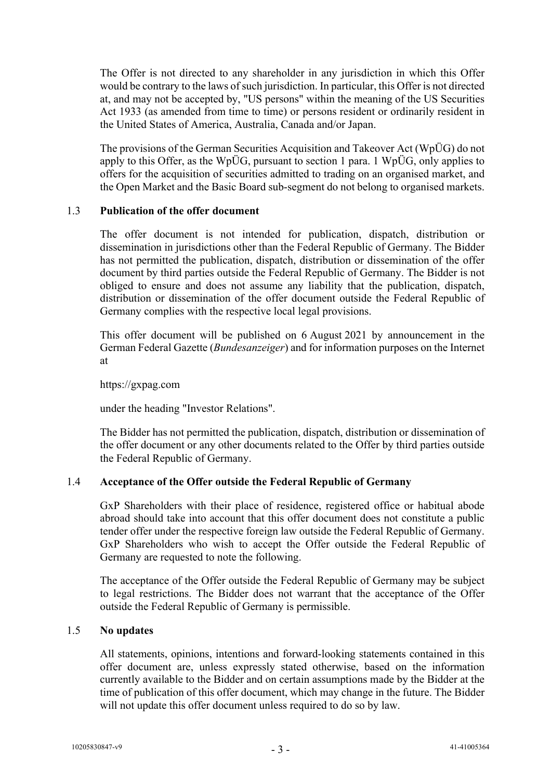The Offer is not directed to any shareholder in any jurisdiction in which this Offer would be contrary to the laws of such jurisdiction. In particular, this Offer is not directed at, and may not be accepted by, "US persons" within the meaning of the US Securities Act 1933 (as amended from time to time) or persons resident or ordinarily resident in the United States of America, Australia, Canada and/or Japan.

The provisions of the German Securities Acquisition and Takeover Act (WpÜG) do not apply to this Offer, as the WpÜG, pursuant to section 1 para. 1 WpÜG, only applies to offers for the acquisition of securities admitted to trading on an organised market, and the Open Market and the Basic Board sub-segment do not belong to organised markets.

# 1.3 **Publication of the offer document**

The offer document is not intended for publication, dispatch, distribution or dissemination in jurisdictions other than the Federal Republic of Germany. The Bidder has not permitted the publication, dispatch, distribution or dissemination of the offer document by third parties outside the Federal Republic of Germany. The Bidder is not obliged to ensure and does not assume any liability that the publication, dispatch, distribution or dissemination of the offer document outside the Federal Republic of Germany complies with the respective local legal provisions.

This offer document will be published on 6 August 2021 by announcement in the German Federal Gazette (*Bundesanzeiger*) and for information purposes on the Internet at

https://gxpag.com

under the heading "Investor Relations".

The Bidder has not permitted the publication, dispatch, distribution or dissemination of the offer document or any other documents related to the Offer by third parties outside the Federal Republic of Germany.

# 1.4 **Acceptance of the Offer outside the Federal Republic of Germany**

GxP Shareholders with their place of residence, registered office or habitual abode abroad should take into account that this offer document does not constitute a public tender offer under the respective foreign law outside the Federal Republic of Germany. GxP Shareholders who wish to accept the Offer outside the Federal Republic of Germany are requested to note the following.

The acceptance of the Offer outside the Federal Republic of Germany may be subject to legal restrictions. The Bidder does not warrant that the acceptance of the Offer outside the Federal Republic of Germany is permissible.

# 1.5 **No updates**

All statements, opinions, intentions and forward-looking statements contained in this offer document are, unless expressly stated otherwise, based on the information currently available to the Bidder and on certain assumptions made by the Bidder at the time of publication of this offer document, which may change in the future. The Bidder will not update this offer document unless required to do so by law.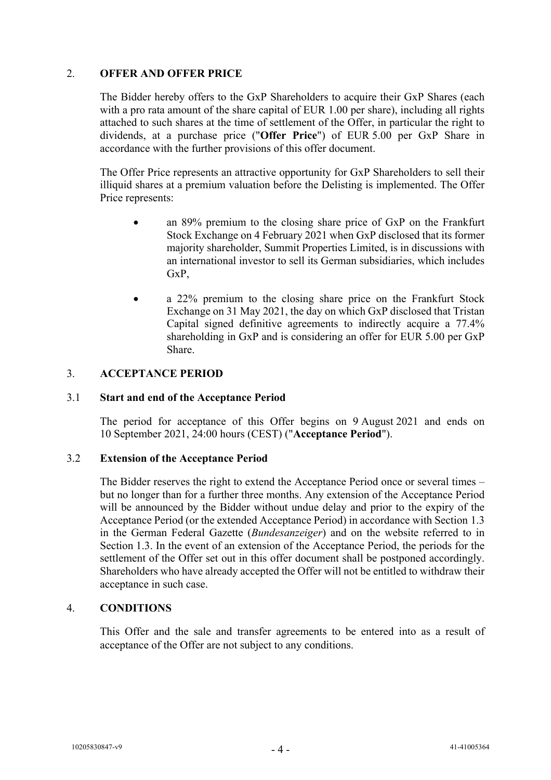# 2. **OFFER AND OFFER PRICE**

The Bidder hereby offers to the GxP Shareholders to acquire their GxP Shares (each with a pro rata amount of the share capital of EUR 1.00 per share), including all rights attached to such shares at the time of settlement of the Offer, in particular the right to dividends, at a purchase price ("**Offer Price**") of EUR 5.00 per GxP Share in accordance with the further provisions of this offer document.

The Offer Price represents an attractive opportunity for GxP Shareholders to sell their illiquid shares at a premium valuation before the Delisting is implemented. The Offer Price represents:

- an 89% premium to the closing share price of GxP on the Frankfurt Stock Exchange on 4 February 2021 when GxP disclosed that its former majority shareholder, Summit Properties Limited, is in discussions with an international investor to sell its German subsidiaries, which includes G<sub>x</sub>P<sub>.</sub>
- a 22% premium to the closing share price on the Frankfurt Stock Exchange on 31 May 2021, the day on which GxP disclosed that Tristan Capital signed definitive agreements to indirectly acquire a 77.4% shareholding in GxP and is considering an offer for EUR 5.00 per GxP Share.

# 3. **ACCEPTANCE PERIOD**

# 3.1 **Start and end of the Acceptance Period**

The period for acceptance of this Offer begins on 9 August 2021 and ends on 10 September 2021, 24:00 hours (CEST) ("**Acceptance Period**").

# 3.2 **Extension of the Acceptance Period**

The Bidder reserves the right to extend the Acceptance Period once or several times – but no longer than for a further three months. Any extension of the Acceptance Period will be announced by the Bidder without undue delay and prior to the expiry of the Acceptance Period (or the extended Acceptance Period) in accordance with Section 1.3 in the German Federal Gazette (*Bundesanzeiger*) and on the website referred to in Section 1.3. In the event of an extension of the Acceptance Period, the periods for the settlement of the Offer set out in this offer document shall be postponed accordingly. Shareholders who have already accepted the Offer will not be entitled to withdraw their acceptance in such case.

# 4. **CONDITIONS**

This Offer and the sale and transfer agreements to be entered into as a result of acceptance of the Offer are not subject to any conditions.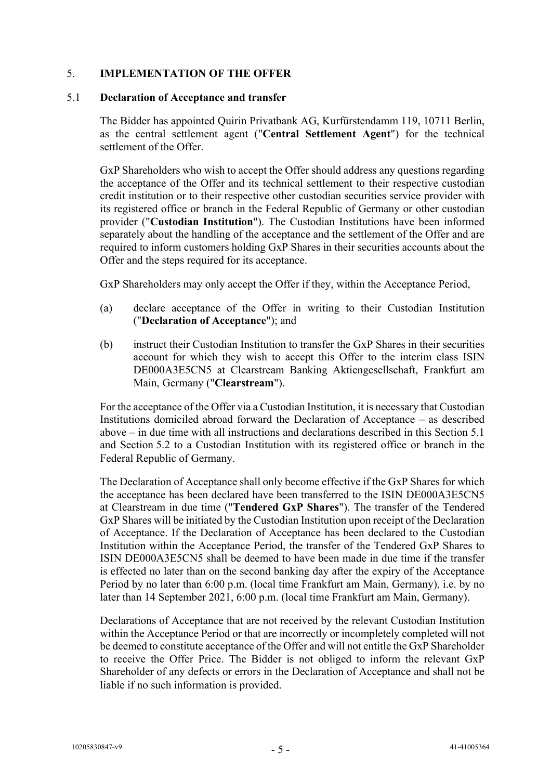# 5. **IMPLEMENTATION OF THE OFFER**

#### 5.1 **Declaration of Acceptance and transfer**

The Bidder has appointed Quirin Privatbank AG, Kurfürstendamm 119, 10711 Berlin, as the central settlement agent ("**Central Settlement Agent**") for the technical settlement of the Offer.

GxP Shareholders who wish to accept the Offer should address any questions regarding the acceptance of the Offer and its technical settlement to their respective custodian credit institution or to their respective other custodian securities service provider with its registered office or branch in the Federal Republic of Germany or other custodian provider ("**Custodian Institution**"). The Custodian Institutions have been informed separately about the handling of the acceptance and the settlement of the Offer and are required to inform customers holding GxP Shares in their securities accounts about the Offer and the steps required for its acceptance.

GxP Shareholders may only accept the Offer if they, within the Acceptance Period,

- (a) declare acceptance of the Offer in writing to their Custodian Institution ("**Declaration of Acceptance**"); and
- (b) instruct their Custodian Institution to transfer the GxP Shares in their securities account for which they wish to accept this Offer to the interim class ISIN DE000A3E5CN5 at Clearstream Banking Aktiengesellschaft, Frankfurt am Main, Germany ("**Clearstream**").

For the acceptance of the Offer via a Custodian Institution, it is necessary that Custodian Institutions domiciled abroad forward the Declaration of Acceptance – as described above – in due time with all instructions and declarations described in this Section 5.1 and Section 5.2 to a Custodian Institution with its registered office or branch in the Federal Republic of Germany.

The Declaration of Acceptance shall only become effective if the GxP Shares for which the acceptance has been declared have been transferred to the ISIN DE000A3E5CN5 at Clearstream in due time ("**Tendered GxP Shares**"). The transfer of the Tendered GxP Shares will be initiated by the Custodian Institution upon receipt of the Declaration of Acceptance. If the Declaration of Acceptance has been declared to the Custodian Institution within the Acceptance Period, the transfer of the Tendered GxP Shares to ISIN DE000A3E5CN5 shall be deemed to have been made in due time if the transfer is effected no later than on the second banking day after the expiry of the Acceptance Period by no later than 6:00 p.m. (local time Frankfurt am Main, Germany), i.e. by no later than 14 September 2021, 6:00 p.m. (local time Frankfurt am Main, Germany).

Declarations of Acceptance that are not received by the relevant Custodian Institution within the Acceptance Period or that are incorrectly or incompletely completed will not be deemed to constitute acceptance of the Offer and will not entitle the GxP Shareholder to receive the Offer Price. The Bidder is not obliged to inform the relevant GxP Shareholder of any defects or errors in the Declaration of Acceptance and shall not be liable if no such information is provided.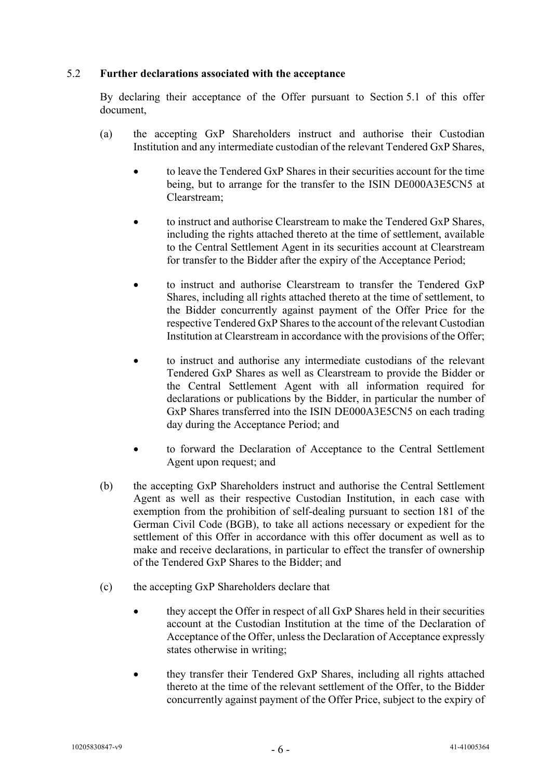# 5.2 **Further declarations associated with the acceptance**

By declaring their acceptance of the Offer pursuant to Section 5.1 of this offer document,

- (a) the accepting GxP Shareholders instruct and authorise their Custodian Institution and any intermediate custodian of the relevant Tendered GxP Shares,
	- to leave the Tendered GxP Shares in their securities account for the time being, but to arrange for the transfer to the ISIN DE000A3E5CN5 at Clearstream;
	- to instruct and authorise Clearstream to make the Tendered GxP Shares, including the rights attached thereto at the time of settlement, available to the Central Settlement Agent in its securities account at Clearstream for transfer to the Bidder after the expiry of the Acceptance Period;
	- to instruct and authorise Clearstream to transfer the Tendered GxP Shares, including all rights attached thereto at the time of settlement, to the Bidder concurrently against payment of the Offer Price for the respective Tendered GxP Shares to the account of the relevant Custodian Institution at Clearstream in accordance with the provisions of the Offer;
	- to instruct and authorise any intermediate custodians of the relevant Tendered GxP Shares as well as Clearstream to provide the Bidder or the Central Settlement Agent with all information required for declarations or publications by the Bidder, in particular the number of GxP Shares transferred into the ISIN DE000A3E5CN5 on each trading day during the Acceptance Period; and
	- to forward the Declaration of Acceptance to the Central Settlement Agent upon request; and
- (b) the accepting GxP Shareholders instruct and authorise the Central Settlement Agent as well as their respective Custodian Institution, in each case with exemption from the prohibition of self-dealing pursuant to section 181 of the German Civil Code (BGB), to take all actions necessary or expedient for the settlement of this Offer in accordance with this offer document as well as to make and receive declarations, in particular to effect the transfer of ownership of the Tendered GxP Shares to the Bidder; and
- (c) the accepting GxP Shareholders declare that
	- they accept the Offer in respect of all GxP Shares held in their securities account at the Custodian Institution at the time of the Declaration of Acceptance of the Offer, unless the Declaration of Acceptance expressly states otherwise in writing;
	- they transfer their Tendered GxP Shares, including all rights attached thereto at the time of the relevant settlement of the Offer, to the Bidder concurrently against payment of the Offer Price, subject to the expiry of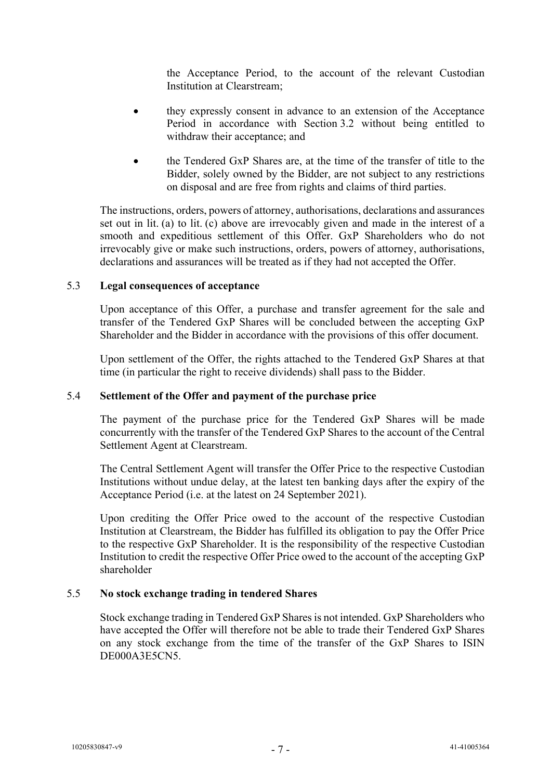the Acceptance Period, to the account of the relevant Custodian Institution at Clearstream;

- they expressly consent in advance to an extension of the Acceptance Period in accordance with Section 3.2 without being entitled to withdraw their acceptance; and
- the Tendered GxP Shares are, at the time of the transfer of title to the Bidder, solely owned by the Bidder, are not subject to any restrictions on disposal and are free from rights and claims of third parties.

The instructions, orders, powers of attorney, authorisations, declarations and assurances set out in lit. (a) to lit. (c) above are irrevocably given and made in the interest of a smooth and expeditious settlement of this Offer. GxP Shareholders who do not irrevocably give or make such instructions, orders, powers of attorney, authorisations, declarations and assurances will be treated as if they had not accepted the Offer.

# 5.3 **Legal consequences of acceptance**

Upon acceptance of this Offer, a purchase and transfer agreement for the sale and transfer of the Tendered GxP Shares will be concluded between the accepting GxP Shareholder and the Bidder in accordance with the provisions of this offer document.

Upon settlement of the Offer, the rights attached to the Tendered GxP Shares at that time (in particular the right to receive dividends) shall pass to the Bidder.

#### 5.4 **Settlement of the Offer and payment of the purchase price**

The payment of the purchase price for the Tendered GxP Shares will be made concurrently with the transfer of the Tendered GxP Shares to the account of the Central Settlement Agent at Clearstream.

The Central Settlement Agent will transfer the Offer Price to the respective Custodian Institutions without undue delay, at the latest ten banking days after the expiry of the Acceptance Period (i.e. at the latest on 24 September 2021).

Upon crediting the Offer Price owed to the account of the respective Custodian Institution at Clearstream, the Bidder has fulfilled its obligation to pay the Offer Price to the respective GxP Shareholder. It is the responsibility of the respective Custodian Institution to credit the respective Offer Price owed to the account of the accepting GxP shareholder

# 5.5 **No stock exchange trading in tendered Shares**

Stock exchange trading in Tendered GxP Shares is not intended. GxP Shareholders who have accepted the Offer will therefore not be able to trade their Tendered GxP Shares on any stock exchange from the time of the transfer of the GxP Shares to ISIN DE000A3E5CN5.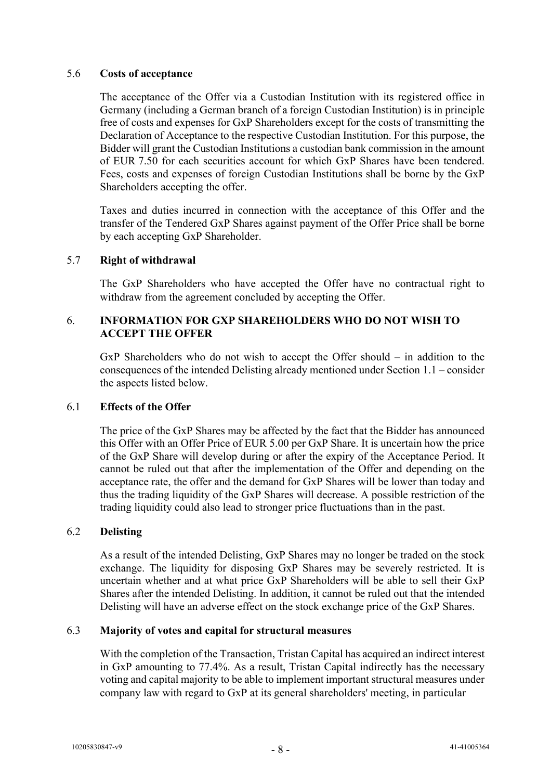# 5.6 **Costs of acceptance**

The acceptance of the Offer via a Custodian Institution with its registered office in Germany (including a German branch of a foreign Custodian Institution) is in principle free of costs and expenses for GxP Shareholders except for the costs of transmitting the Declaration of Acceptance to the respective Custodian Institution. For this purpose, the Bidder will grant the Custodian Institutions a custodian bank commission in the amount of EUR 7.50 for each securities account for which GxP Shares have been tendered. Fees, costs and expenses of foreign Custodian Institutions shall be borne by the GxP Shareholders accepting the offer.

Taxes and duties incurred in connection with the acceptance of this Offer and the transfer of the Tendered GxP Shares against payment of the Offer Price shall be borne by each accepting GxP Shareholder.

# 5.7 **Right of withdrawal**

The GxP Shareholders who have accepted the Offer have no contractual right to withdraw from the agreement concluded by accepting the Offer.

# 6. **INFORMATION FOR GXP SHAREHOLDERS WHO DO NOT WISH TO ACCEPT THE OFFER**

GxP Shareholders who do not wish to accept the Offer should – in addition to the consequences of the intended Delisting already mentioned under Section 1.1 – consider the aspects listed below.

# 6.1 **Effects of the Offer**

The price of the GxP Shares may be affected by the fact that the Bidder has announced this Offer with an Offer Price of EUR 5.00 per GxP Share. It is uncertain how the price of the GxP Share will develop during or after the expiry of the Acceptance Period. It cannot be ruled out that after the implementation of the Offer and depending on the acceptance rate, the offer and the demand for GxP Shares will be lower than today and thus the trading liquidity of the GxP Shares will decrease. A possible restriction of the trading liquidity could also lead to stronger price fluctuations than in the past.

# 6.2 **Delisting**

As a result of the intended Delisting, GxP Shares may no longer be traded on the stock exchange. The liquidity for disposing GxP Shares may be severely restricted. It is uncertain whether and at what price GxP Shareholders will be able to sell their GxP Shares after the intended Delisting. In addition, it cannot be ruled out that the intended Delisting will have an adverse effect on the stock exchange price of the GxP Shares.

# 6.3 **Majority of votes and capital for structural measures**

With the completion of the Transaction, Tristan Capital has acquired an indirect interest in GxP amounting to 77.4%. As a result, Tristan Capital indirectly has the necessary voting and capital majority to be able to implement important structural measures under company law with regard to GxP at its general shareholders' meeting, in particular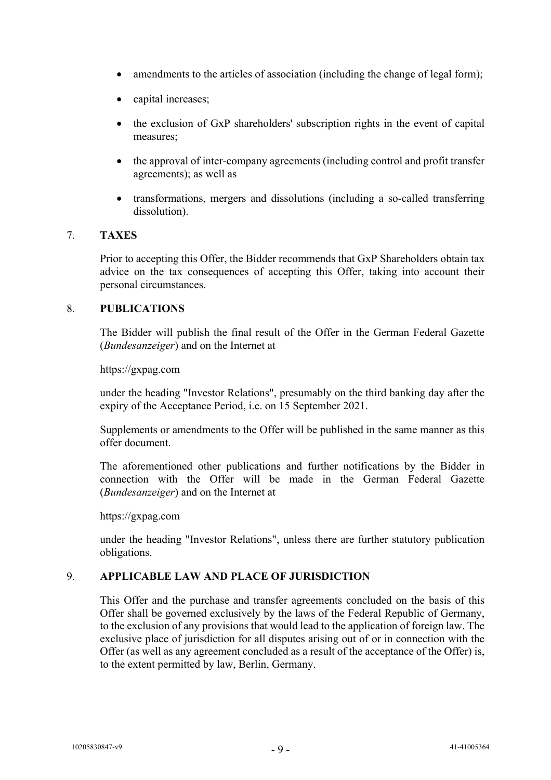- amendments to the articles of association (including the change of legal form);
- capital increases;
- the exclusion of GxP shareholders' subscription rights in the event of capital measures;
- the approval of inter-company agreements (including control and profit transfer agreements); as well as
- transformations, mergers and dissolutions (including a so-called transferring dissolution).

# 7. **TAXES**

Prior to accepting this Offer, the Bidder recommends that GxP Shareholders obtain tax advice on the tax consequences of accepting this Offer, taking into account their personal circumstances.

# 8. **PUBLICATIONS**

The Bidder will publish the final result of the Offer in the German Federal Gazette (*Bundesanzeiger*) and on the Internet at

https://gxpag.com

under the heading "Investor Relations", presumably on the third banking day after the expiry of the Acceptance Period, i.e. on 15 September 2021.

Supplements or amendments to the Offer will be published in the same manner as this offer document.

The aforementioned other publications and further notifications by the Bidder in connection with the Offer will be made in the German Federal Gazette (*Bundesanzeiger*) and on the Internet at

https://gxpag.com

under the heading "Investor Relations", unless there are further statutory publication obligations.

# 9. **APPLICABLE LAW AND PLACE OF JURISDICTION**

This Offer and the purchase and transfer agreements concluded on the basis of this Offer shall be governed exclusively by the laws of the Federal Republic of Germany, to the exclusion of any provisions that would lead to the application of foreign law. The exclusive place of jurisdiction for all disputes arising out of or in connection with the Offer (as well as any agreement concluded as a result of the acceptance of the Offer) is, to the extent permitted by law, Berlin, Germany.